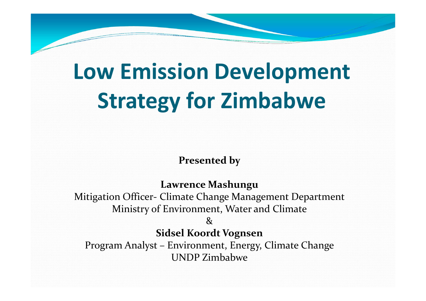## **Low Emission Development Strategy for Zimbabwe**

**Presented by**

**Lawrence Mashungu**

Mitigation Officer‐ Climate Change Management Department Ministry of Environment, Water and Climate

 $\mathcal{R}$ 

**Sidsel Koordt Vognsen**

Program Analyst – Environment, Energy, Climate Change UNDP Zimbabwe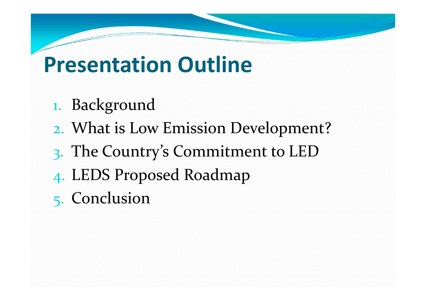## **Presentation Outline**

- 1. Background
- 2. What is Low Emission Development?
- 3. The Country's Commitment to LED
- 4. LEDS Proposed Roadmap
- 5. Conclusion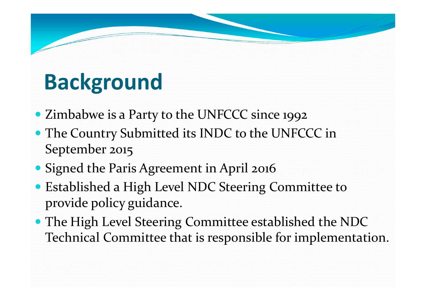## **Background**

- Zimbabwe is <sup>a</sup> Party to the UNFCCC since 1992
- The Country Submitted its INDC to the UNFCCC in September 2015
- Signed the Paris Agreement in April 2016
- Established <sup>a</sup> High Level NDC Steering Committee to provide policy guidance.
- The High Level Steering Committee established the NDC Technical Committee that is responsible for implementation.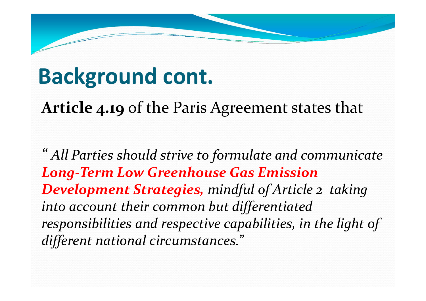## **Background cont.**

**Article 4.19** of the Paris Agreement states that

*" All Parties should strive to formulate and communicate Long‐Term Low Greenhouse Gas Emission Development Strategies, mindful of Article <sup>2</sup> taking into account their common but differentiated responsibilities and respective capabilities, in the light of different national circumstances."*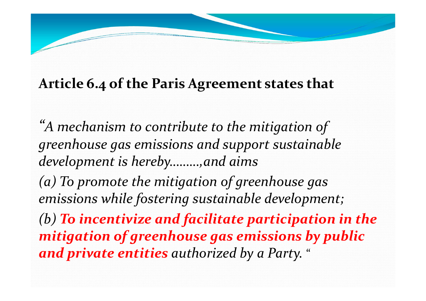#### **Article 6.4 of the Paris Agreement states that**

*"A mechanism to contribute to the mitigation of greenhouse gas emissions and suppor<sup>t</sup> sustainable development is hereby………,and aims (a) To promote the mitigation of greenhouse gas emissions while fostering sustainable development; (b) To incentivize and facilitate participation in the mitigation of greenhouse gas emissions by public and private entities authorized by <sup>a</sup> Party.* "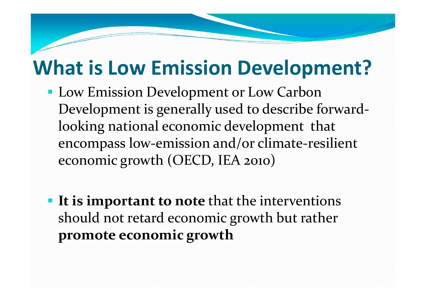## **What is Low Emission Development?**

- **Low Emission Development or Low Carbon** Development is generally used to describe forward‐ looking national economic development that encompass low‐emission and/or climate‐resilient economic growth (OECD, IEA 2010)
- **It is important to note** that the interventions should not retard economic growth but rather **promote economic growth**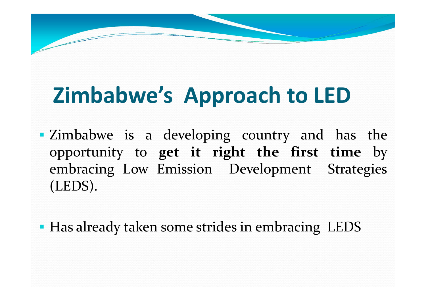# **Zimbabwe's Approach to LED**

**Exambabwe is a developing country and has the** opportunity to **ge<sup>t</sup> it right the first time** by embracing Low Emission Development Strategies (LEDS).

**• Has already taken some strides in embracing LEDS**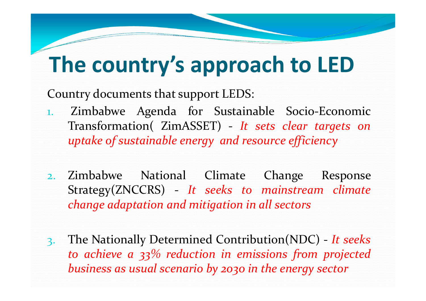## **The country's approach to LED**

Country documents that suppor<sup>t</sup> LEDS:

- 1. Zimbabwe Agenda for Sustainable Socio‐Economic Transformation( ZimASSET) ‐ *It sets clear targets on uptake of sustainable energy and resource efficiency*
- 2. Zimbabwe National Climate Change Response Strategy(ZNCCRS) ‐ *It seeks to mainstream climate change adaptation and mitigation in all sectors*
- 3. The Nationally Determined Contribution(NDC) ‐ *It seeks to achieve <sup>a</sup> 33% reduction in emissions from projected business as usual scenario by 2030 in the energy sector*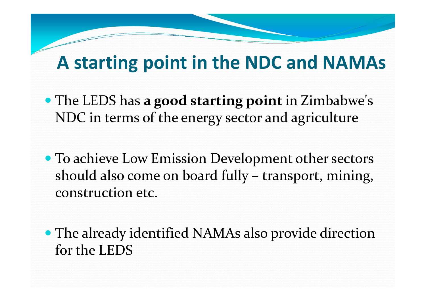## **A starting point in the NDC and NAMAs**

- The LEDS has **<sup>a</sup> good starting point** in Zimbabwe's NDC in terms of the energy sector and agriculture
- To achieve Low Emission Development other sectors should also come on board fully – transport, mining, construction etc.
- The already identified NAMAs also provide direction for the LEDS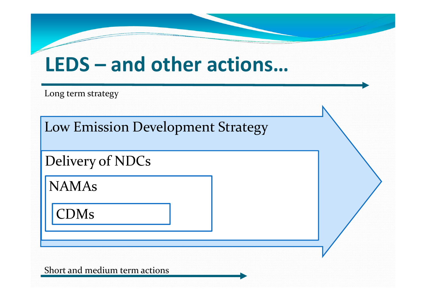## **LEDS – and other actions…**

Long term strategy

Low Emission Development Strategy

Delivery of NDCs

NAMAs

CDMs

Short and medium term actions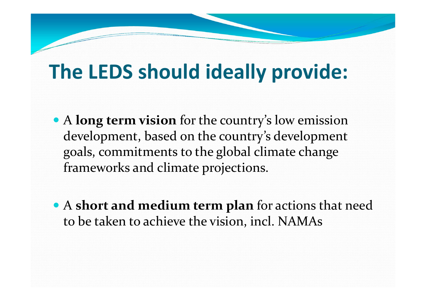## **The LEDS should ideally provide:**

- A **long term vision** for the country's low emission development, based on the country's development goals, commitments to the global climate change frameworks and climate projections.
- A **short and medium term plan** for actions that need to be taken to achieve the vision, incl. NAMAs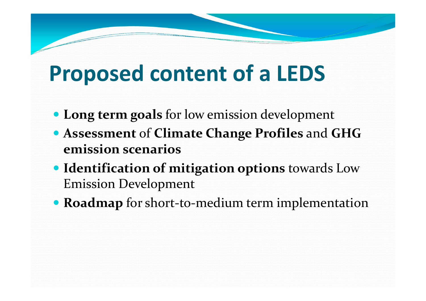## **Proposed content of <sup>a</sup> LEDS**

- **Long term goals** for low emission development
- **Assessment** of **Climate Change Profiles** and **GHG emission scenarios**
- **Identification of mitigation options** towards Low Emission Development
- **Roadmap** for short‐to‐medium term implementation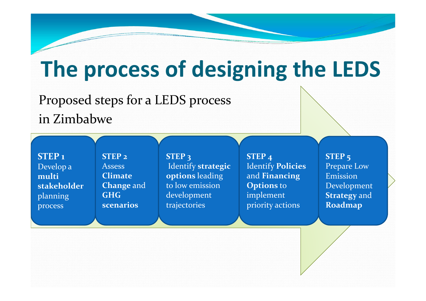## **The process of designing the LEDS**

### Proposed steps for <sup>a</sup> LEDS process

in Zimbabwe

**STEP 1** Develop <sup>a</sup> **multistakeholder**planning process

**STEP 2** Assess**ClimateChange** and **GHGscenarios**

**STEP 3** Identify **strategic options** leading to low emission development trajectories

**STEP 4** Identify **Policies** and **Financing Options** to implement priority actions

**STEP 5** Prepare Low EmissionDevelopment **Strategy** and **Roadmap**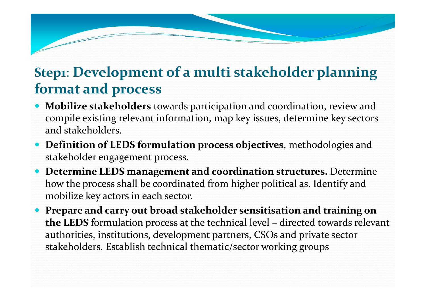#### **Step1**: **Development of <sup>a</sup> multi stakeholder planning format and process**

- $\bullet$  **Mobilize stakeholders** towards participation and coordination, review and compile existing relevant information, map key issues, determine key sectors and stakeholders.
- **Definition of LEDS formulation process objectives**, methodologies and stakeholder engagement process.
- **Determine LEDS managemen<sup>t</sup> and coordination structures.** Determine how the process shall be coordinated from higher political as. Identify and mobilize key actors in each sector.
- $\bullet$  **Prepare and carry out broad stakeholder sensitisation and training on the LEDS** formulation process at the technical level – directed towards relevant authorities, institutions, development partners, CSOs and private sector stakeholders. Establish technical thematic/sector working groups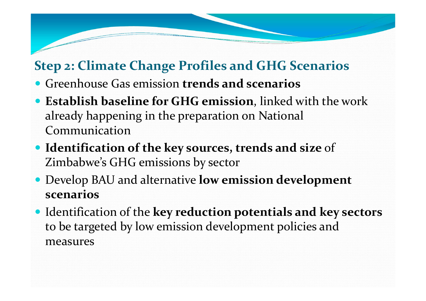#### **Step 2: Climate Change Profiles and GHG Scenarios**

- Greenhouse Gas emission **trends and scenarios**
- **Establish baseline for GHG emission**, linked with the work already happening in the preparation on National Communication
- **Identification of the key sources, trends and size** of Zimbabwe's GHG emissions by sector
- Develop BAU and alternative **low emission development scenarios**
- Identification of the **key reduction potentials and key sectors** to be targeted by low emission development policies and measures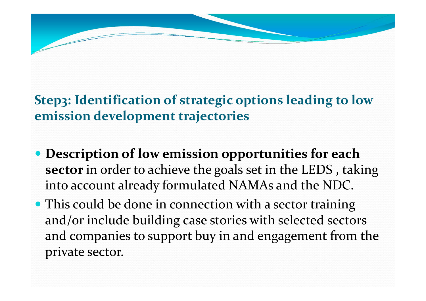#### **Step3: Identification of strategic options leading to low emission development trajectories**

- **Description of low emission opportunities for each sector** in order to achieve the goals set in the LEDS , taking into account already formulated NAMAs and the NDC.
- This could be done in connection with a sector training and/or include building case stories with selected sectors and companies to suppor<sup>t</sup> buy in and engagemen<sup>t</sup> from the private sector.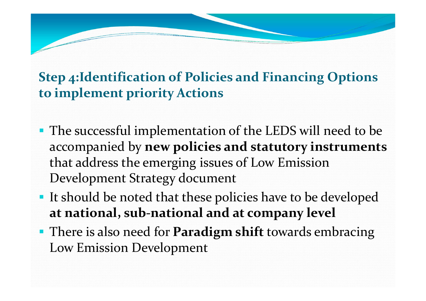#### **Step 4:Identification of Policies and Financing Options to implement priority Actions**

- **The successful implementation of the LEDS will need to be** accompanied by **new policies and statutory instruments** that address the emerging issues of Low Emission Development Strategy document
- **It should be noted that these policies have to be developed at national, sub‐national and at company level**
- There is also need for **Paradigm shift** towards embracing Low Emission Development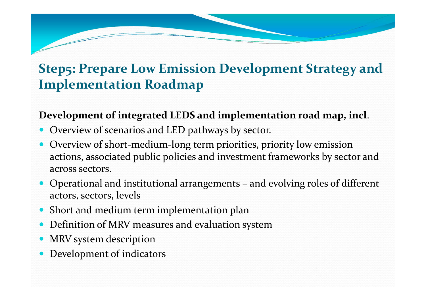#### **Step5: Prepare Low Emission Development Strategy and Implementation Roadmap**

#### **Development of integrated LEDS and implementation road map, incl**.

- Overview of scenarios and LED pathways by sector.
- Overview of short-medium-long term priorities, priority low emission actions, associated public policies and investment frameworks by sector and across sectors.
- Operational and institutional arrangements and evolving roles of different actors, sectors, levels
- Short and medium term implementation plan
- Definition of MRV measures and evaluation system
- $\bullet$ • MRV system description
- $\bullet$ Development of indicators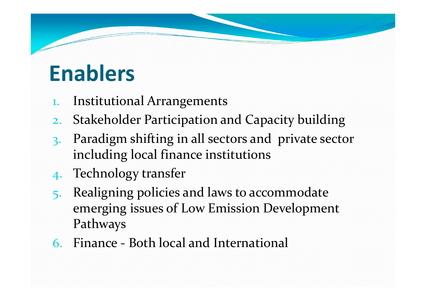## **Enablers**

- 1. Institutional Arrangements
- 2. Stakeholder Participation and Capacity building
- 3. Paradigm shifting in all sectors and private sector including local finance institutions
- 4. Technology transfer
- 5. Realigning policies and laws to accommodate emerging issues of Low Emission Development Pathways
- 6. Finance ‐ Both local and International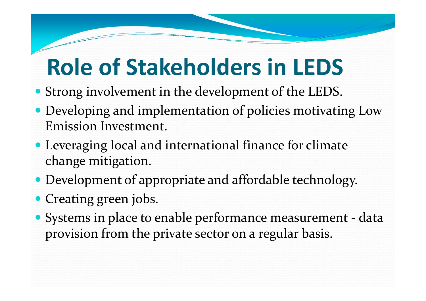## **Role of Stakeholders in LEDS**

- Strong involvement in the development of the LEDS.
- Developing and implementation of policies motivating Low Emission Investment.
- Leveraging local and international finance for climate change mitigation.
- Development of appropriate and affordable technology.
- Creating green jobs.
- Systems in place to enable performance measurement ‐ data provision from the private sector on <sup>a</sup> regular basis.